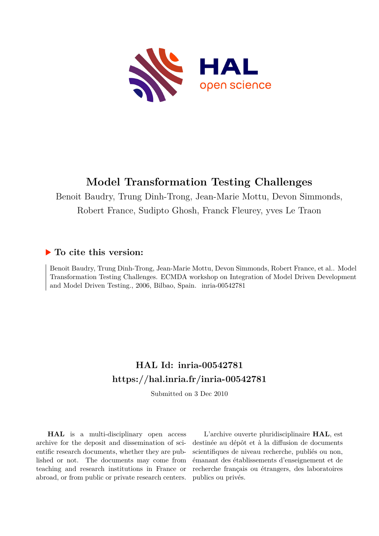

# **Model Transformation Testing Challenges**

Benoit Baudry, Trung Dinh-Trong, Jean-Marie Mottu, Devon Simmonds, Robert France, Sudipto Ghosh, Franck Fleurey, yves Le Traon

## **To cite this version:**

Benoit Baudry, Trung Dinh-Trong, Jean-Marie Mottu, Devon Simmonds, Robert France, et al.. Model Transformation Testing Challenges. ECMDA workshop on Integration of Model Driven Development and Model Driven Testing., 2006, Bilbao, Spain. inria-00542781

## **HAL Id: inria-00542781 <https://hal.inria.fr/inria-00542781>**

Submitted on 3 Dec 2010

**HAL** is a multi-disciplinary open access archive for the deposit and dissemination of scientific research documents, whether they are published or not. The documents may come from teaching and research institutions in France or abroad, or from public or private research centers.

L'archive ouverte pluridisciplinaire **HAL**, est destinée au dépôt et à la diffusion de documents scientifiques de niveau recherche, publiés ou non, émanant des établissements d'enseignement et de recherche français ou étrangers, des laboratoires publics ou privés.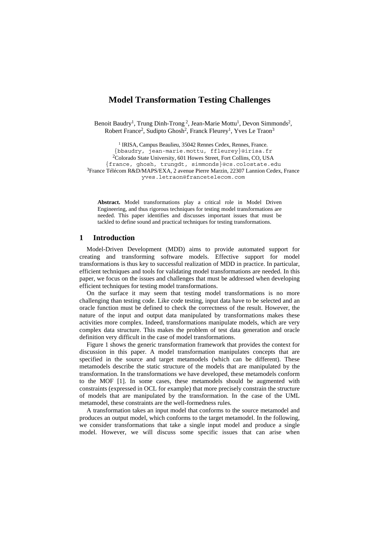## **Model Transformation Testing Challenges**

Benoit Baudry<sup>1</sup>, Trung Dinh-Trong<sup>2</sup>, Jean-Marie Mottu<sup>1</sup>, Devon Simmonds<sup>2</sup>, Robert France<sup>2</sup>, Sudipto Ghosh<sup>2</sup>, Franck Fleurey<sup>1</sup>, Yves Le Traon<sup>3</sup>

<sup>1</sup> IRISA, Campus Beaulieu, 35042 Rennes Cedex, Rennes, France. {bbaudry, jean-marie.mottu, ffleurey}@irisa.fr 2Colorado State University, 601 Howes Street, Fort Collins, CO, USA {france, ghosh, trungdt, simmonds}@cs.colostate.edu 3France Télécom R&D/MAPS/EXA, 2 avenue Pierre Marzin, 22307 Lannion Cedex, France yves.letraon@francetelecom.com

**Abstract.** Model transformations play a critical role in Model Driven Engineering, and thus rigorous techniques for testing model transformations are needed. This paper identifies and discusses important issues that must be tackled to define sound and practical techniques for testing transformations.

#### **1 Introduction**

Model-Driven Development (MDD) aims to provide automated support for creating and transforming software models. Effective support for model transformations is thus key to successful realization of MDD in practice. In particular, efficient techniques and tools for validating model transformations are needed. In this paper, we focus on the issues and challenges that must be addressed when developing efficient techniques for testing model transformations.

On the surface it may seem that testing model transformations is no more challenging than testing code. Like code testing, input data have to be selected and an oracle function must be defined to check the correctness of the result. However, the nature of the input and output data manipulated by transformations makes these activities more complex. Indeed, transformations manipulate models, which are very complex data structure. This makes the problem of test data generation and oracle definition very difficult in the case of model transformations.

[Figure 1](#page-2-0) shows the generic transformation framework that provides the context for discussion in this paper. A model transformation manipulates concepts that are specified in the source and target metamodels (which can be different). These metamodels describe the static structure of the models that are manipulated by the transformation. In the transformations we have developed, these metamodels conform to the MOF [1]. In some cases, these metamodels should be augmented with constraints (expressed in OCL for example) that more precisely constrain the structure of models that are manipulated by the transformation. In the case of the UML metamodel, these constraints are the well-formedness rules.

A transformation takes an input model that conforms to the source metamodel and produces an output model, which conforms to the target metamodel. In the following, we consider transformations that take a single input model and produce a single model. However, we will discuss some specific issues that can arise when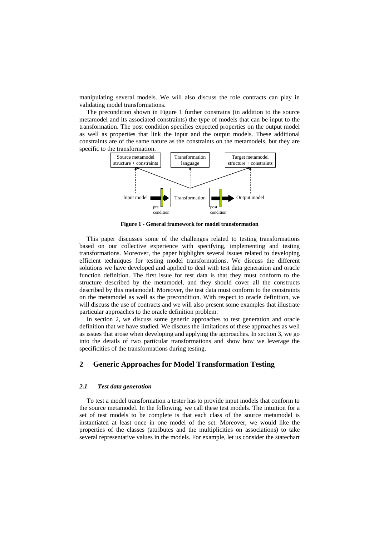manipulating several models. We will also discuss the role contracts can play in validating model transformations.

The precondition shown in [Figure 1](#page-2-0) further constrains (in addition to the source metamodel and its associated constraints) the type of models that can be input to the transformation. The post condition specifies expected properties on the output model as well as properties that link the input and the output models. These additional constraints are of the same nature as the constraints on the metamodels, but they are specific to the transformation.

<span id="page-2-0"></span>

**Figure 1 - General framework for model transformation** 

This paper discusses some of the challenges related to testing transformations based on our collective experience with specifying, implementing and testing transformations. Moreover, the paper highlights several issues related to developing efficient techniques for testing model transformations. We discuss the different solutions we have developed and applied to deal with test data generation and oracle function definition. The first issue for test data is that they must conform to the structure described by the metamodel, and they should cover all the constructs described by this metamodel. Moreover, the test data must conform to the constraints on the metamodel as well as the precondition. With respect to oracle definition, we will discuss the use of contracts and we will also present some examples that illustrate particular approaches to the oracle definition problem.

In section 2, we discuss some generic approaches to test generation and oracle definition that we have studied. We discuss the limitations of these approaches as well as issues that arose when developing and applying the approaches. In section 3, we go into the details of two particular transformations and show how we leverage the specificities of the transformations during testing.

## **2 Generic Approaches for Model Transformation Testing**

#### *2.1 Test data generation*

To test a model transformation a tester has to provide input models that conform to the source metamodel. In the following, we call these test models. The intuition for a set of test models to be complete is that each class of the source metamodel is instantiated at least once in one model of the set. Moreover, we would like the properties of the classes (attributes and the multiplicities on associations) to take several representative values in the models. For example, let us consider the statechart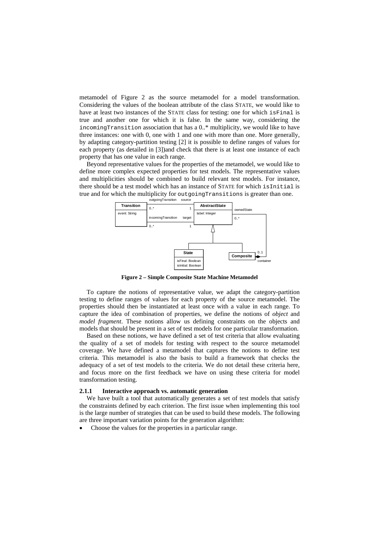metamodel of [Figure 2](#page-3-0) as the source metamodel for a model transformation. Considering the values of the boolean attribute of the class STATE, we would like to have at least two instances of the STATE class for testing: one for which is Final is true and another one for which it is false. In the same way, considering the incomingTransition association that has a 0..\* multiplicity, we would like to have three instances: one with 0, one with 1 and one with more than one. More generally, by adapting category-partition testing [2] it is possible to define ranges of values for each property (as detailed in [3])and check that there is at least one instance of each property that has one value in each range.

Beyond representative values for the properties of the metamodel, we would like to define more complex expected properties for test models. The representative values and multiplicities should be combined to build relevant test models. For instance, there should be a test model which has an instance of STATE for which isInitial is true and for which the multiplicity for outgoingTransitions is greater than one.

<span id="page-3-0"></span>

**Figure 2 – Simple Composite State Machine Metamodel** 

To capture the notions of representative value, we adapt the category-partition testing to define ranges of values for each property of the source metamodel. The properties should then be instantiated at least once with a value in each range. To capture the idea of combination of properties, we define the notions of *object* and *model fragment*. These notions allow us defining constraints on the objects and models that should be present in a set of test models for one particular transformation.

Based on these notions, we have defined a set of test criteria that allow evaluating the quality of a set of models for testing with respect to the source metamodel coverage. We have defined a metamodel that captures the notions to define test criteria. This metamodel is also the basis to build a framework that checks the adequacy of a set of test models to the criteria. We do not detail these criteria here, and focus more on the first feedback we have on using these criteria for model transformation testing.

#### **2.1.1 Interactive approach vs. automatic generation**

We have built a tool that automatically generates a set of test models that satisfy the constraints defined by each criterion. The first issue when implementing this tool is the large number of strategies that can be used to build these models. The following are three important variation points for the generation algorithm:

• Choose the values for the properties in a particular range.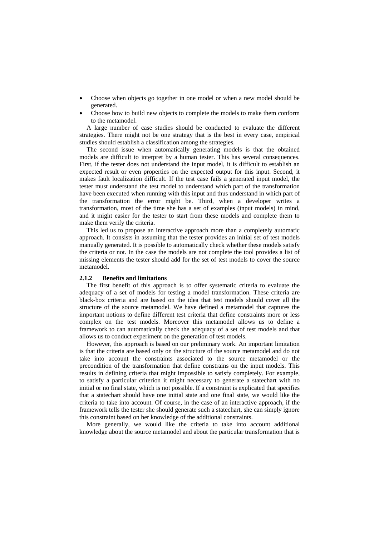- Choose when objects go together in one model or when a new model should be generated.
- Choose how to build new objects to complete the models to make them conform to the metamodel.

A large number of case studies should be conducted to evaluate the different strategies. There might not be one strategy that is the best in every case, empirical studies should establish a classification among the strategies.

The second issue when automatically generating models is that the obtained models are difficult to interpret by a human tester. This has several consequences. First, if the tester does not understand the input model, it is difficult to establish an expected result or even properties on the expected output for this input. Second, it makes fault localization difficult. If the test case fails a generated input model, the tester must understand the test model to understand which part of the transformation have been executed when running with this input and thus understand in which part of the transformation the error might be. Third, when a developer writes a transformation, most of the time she has a set of examples (input models) in mind, and it might easier for the tester to start from these models and complete them to make them verify the criteria.

This led us to propose an interactive approach more than a completely automatic approach. It consists in assuming that the tester provides an initial set of test models manually generated. It is possible to automatically check whether these models satisfy the criteria or not. In the case the models are not complete the tool provides a list of missing elements the tester should add for the set of test models to cover the source metamodel.

#### **2.1.2 Benefits and limitations**

The first benefit of this approach is to offer systematic criteria to evaluate the adequacy of a set of models for testing a model transformation. These criteria are black-box criteria and are based on the idea that test models should cover all the structure of the source metamodel. We have defined a metamodel that captures the important notions to define different test criteria that define constraints more or less complex on the test models. Moreover this metamodel allows us to define a framework to can automatically check the adequacy of a set of test models and that allows us to conduct experiment on the generation of test models.

However, this approach is based on our preliminary work. An important limitation is that the criteria are based only on the structure of the source metamodel and do not take into account the constraints associated to the source metamodel or the precondition of the transformation that define constrains on the input models. This results in defining criteria that might impossible to satisfy completely. For example, to satisfy a particular criterion it might necessary to generate a statechart with no initial or no final state, which is not possible. If a constraint is explicated that specifies that a statechart should have one initial state and one final state, we would like the criteria to take into account. Of course, in the case of an interactive approach, if the framework tells the tester she should generate such a statechart, she can simply ignore this constraint based on her knowledge of the additional constraints.

More generally, we would like the criteria to take into account additional knowledge about the source metamodel and about the particular transformation that is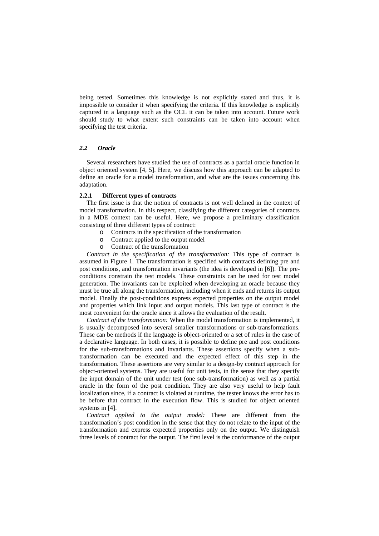being tested. Sometimes this knowledge is not explicitly stated and thus, it is impossible to consider it when specifying the criteria. If this knowledge is explicitly captured in a language such as the OCL it can be taken into account. Future work should study to what extent such constraints can be taken into account when specifying the test criteria.

#### *2.2 Oracle*

Several researchers have studied the use of contracts as a partial oracle function in object oriented system [4, 5]. Here, we discuss how this approach can be adapted to define an oracle for a model transformation, and what are the issues concerning this adaptation.

#### **2.2.1 Different types of contracts**

The first issue is that the notion of contracts is not well defined in the context of model transformation. In this respect, classifying the different categories of contracts in a MDE context can be useful. Here, we propose a preliminary classification consisting of three different types of contract:

- o Contracts in the specification of the transformation
- o Contract applied to the output model
- o Contract of the transformation

*Contract in the specification of the transformation:* This type of contract is assumed in [Figure 1.](#page-2-0) The transformation is specified with contracts defining pre and post conditions, and transformation invariants (the idea is developed in [6]). The preconditions constrain the test models. These constraints can be used for test model generation. The invariants can be exploited when developing an oracle because they must be true all along the transformation, including when it ends and returns its output model. Finally the post-conditions express expected properties on the output model and properties which link input and output models. This last type of contract is the most convenient for the oracle since it allows the evaluation of the result.

*Contract of the transformation:* When the model transformation is implemented, it is usually decomposed into several smaller transformations or sub-transformations. These can be methods if the language is object-oriented or a set of rules in the case of a declarative language. In both cases, it is possible to define pre and post conditions for the sub-transformations and invariants. These assertions specify when a subtransformation can be executed and the expected effect of this step in the transformation. These assertions are very similar to a design-by contract approach for object-oriented systems. They are useful for unit tests, in the sense that they specify the input domain of the unit under test (one sub-transformation) as well as a partial oracle in the form of the post condition. They are also very useful to help fault localization since, if a contract is violated at runtime, the tester knows the error has to be before that contract in the execution flow. This is studied for object oriented systems in [4].

*Contract applied to the output model:* These are different from the transformation's post condition in the sense that they do not relate to the input of the transformation and express expected properties only on the output. We distinguish three levels of contract for the output. The first level is the conformance of the output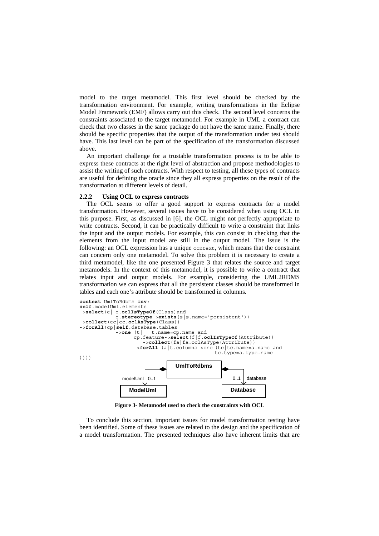model to the target metamodel. This first level should be checked by the transformation environment. For example, writing transformations in the Eclipse Model Framework (EMF) allows carry out this check. The second level concerns the constraints associated to the target metamodel. For example in UML a contract can check that two classes in the same package do not have the same name. Finally, there should be specific properties that the output of the transformation under test should have. This last level can be part of the specification of the transformation discussed above.

An important challenge for a trustable transformation process is to be able to express these contracts at the right level of abstraction and propose methodologies to assist the writing of such contracts. With respect to testing, all these types of contracts are useful for defining the oracle since they all express properties on the result of the transformation at different levels of detail.

#### **2.2.2 Using OCL to express contracts**

The OCL seems to offer a good support to express contracts for a model transformation. However, several issues have to be considered when using OCL in this purpose. First, as discussed in [6], the OCL might not perfectly appropriate to write contracts. Second, it can be practically difficult to write a constraint that links the input and the output models. For example, this can consist in checking that the elements from the input model are still in the output model. The issue is the following: an OCL expression has a unique context, which means that the constraint can concern only one metamodel. To solve this problem it is necessary to create a third metamodel, like the one presented [Figure 3](#page-6-0) that relates the source and target metamodels. In the context of this metamodel, it is possible to write a contract that relates input and output models. For example, considering the UML2RDMS transformation we can express that all the persistent classes should be transformed in tables and each one's attribute should be transformed in columns.



<span id="page-6-0"></span>**Figure 3- Metamodel used to check the constraints with OCL** 

To conclude this section, important issues for model transformation testing have been identified. Some of these issues are related to the design and the specification of a model transformation. The presented techniques also have inherent limits that are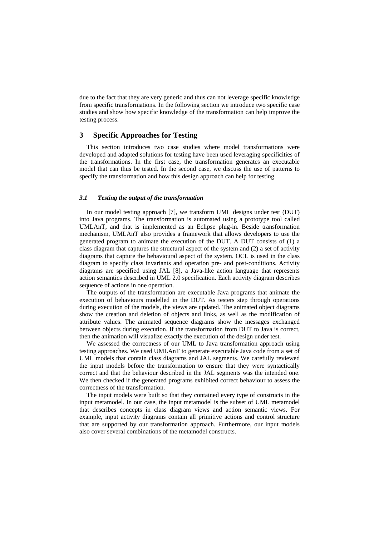due to the fact that they are very generic and thus can not leverage specific knowledge from specific transformations. In the following section we introduce two specific case studies and show how specific knowledge of the transformation can help improve the testing process.

## **3 Specific Approaches for Testing**

This section introduces two case studies where model transformations were developed and adapted solutions for testing have been used leveraging specificities of the transformations. In the first case, the transformation generates an executable model that can thus be tested. In the second case, we discuss the use of patterns to specify the transformation and how this design approach can help for testing.

#### *3.1 Testing the output of the transformation*

In our model testing approach [7], we transform UML designs under test (DUT) into Java programs. The transformation is automated using a prototype tool called UMLAnT, and that is implemented as an Eclipse plug-in. Beside transformation mechanism, UMLAnT also provides a framework that allows developers to use the generated program to animate the execution of the DUT. A DUT consists of (1) a class diagram that captures the structural aspect of the system and (2) a set of activity diagrams that capture the behavioural aspect of the system. OCL is used in the class diagram to specify class invariants and operation pre- and post-conditions. Activity diagrams are specified using JAL [8], a Java-like action language that represents action semantics described in UML 2.0 specification. Each activity diagram describes sequence of actions in one operation.

The outputs of the transformation are executable Java programs that animate the execution of behaviours modelled in the DUT. As testers step through operations during execution of the models, the views are updated. The animated object diagrams show the creation and deletion of objects and links, as well as the modification of attribute values. The animated sequence diagrams show the messages exchanged between objects during execution. If the transformation from DUT to Java is correct, then the animation will visualize exactly the execution of the design under test.

We assessed the correctness of our UML to Java transformation approach using testing approaches. We used UMLAnT to generate executable Java code from a set of UML models that contain class diagrams and JAL segments. We carefully reviewed the input models before the transformation to ensure that they were syntactically correct and that the behaviour described in the JAL segments was the intended one. We then checked if the generated programs exhibited correct behaviour to assess the correctness of the transformation.

The input models were built so that they contained every type of constructs in the input metamodel. In our case, the input metamodel is the subset of UML metamodel that describes concepts in class diagram views and action semantic views. For example, input activity diagrams contain all primitive actions and control structure that are supported by our transformation approach. Furthermore, our input models also cover several combinations of the metamodel constructs.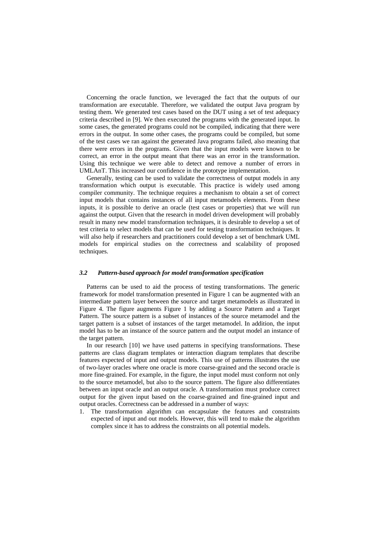Concerning the oracle function, we leveraged the fact that the outputs of our transformation are executable. Therefore, we validated the output Java program by testing them. We generated test cases based on the DUT using a set of test adequacy criteria described in [9]. We then executed the programs with the generated input. In some cases, the generated programs could not be compiled, indicating that there were errors in the output. In some other cases, the programs could be compiled, but some of the test cases we ran against the generated Java programs failed, also meaning that there were errors in the programs. Given that the input models were known to be correct, an error in the output meant that there was an error in the transformation. Using this technique we were able to detect and remove a number of errors in UMLAnT. This increased our confidence in the prototype implementation.

Generally, testing can be used to validate the correctness of output models in any transformation which output is executable. This practice is widely used among compiler community. The technique requires a mechanism to obtain a set of correct input models that contains instances of all input metamodels elements. From these inputs, it is possible to derive an oracle (test cases or properties) that we will run against the output. Given that the research in model driven development will probably result in many new model transformation techniques, it is desirable to develop a set of test criteria to select models that can be used for testing transformation techniques. It will also help if researchers and practitioners could develop a set of benchmark UML models for empirical studies on the correctness and scalability of proposed techniques.

#### *3.2 Pattern-based approach for model transformation specification*

Patterns can be used to aid the process of testing transformations. The generic framework for model transformation presented in [Figure 1](#page-2-0) can be augmented with an intermediate pattern layer between the source and target metamodels as illustrated in [Figure 4.](#page-9-0) The figure augments [Figure 1](#page-2-0) by adding a Source Pattern and a Target Pattern. The source pattern is a subset of instances of the source metamodel and the target pattern is a subset of instances of the target metamodel. In addition, the input model has to be an instance of the source pattern and the output model an instance of the target pattern.

In our research [10] we have used patterns in specifying transformations. These patterns are class diagram templates or interaction diagram templates that describe features expected of input and output models. This use of patterns illustrates the use of two-layer oracles where one oracle is more coarse-grained and the second oracle is more fine-grained. For example, in the figure, the input model must conform not only to the source metamodel, but also to the source pattern. The figure also differentiates between an input oracle and an output oracle. A transformation must produce correct output for the given input based on the coarse-grained and fine-grained input and output oracles. Correctness can be addressed in a number of ways:

1. The transformation algorithm can encapsulate the features and constraints expected of input and out models. However, this will tend to make the algorithm complex since it has to address the constraints on all potential models.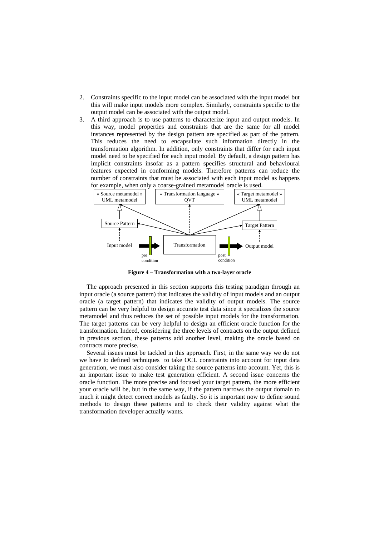- 2. Constraints specific to the input model can be associated with the input model but this will make input models more complex. Similarly, constraints specific to the output model can be associated with the output model.
- 3. A third approach is to use patterns to characterize input and output models. In this way, model properties and constraints that are the same for all model instances represented by the design pattern are specified as part of the pattern. This reduces the need to encapsulate such information directly in the transformation algorithm. In addition, only constraints that differ for each input model need to be specified for each input model. By default, a design pattern has implicit constraints insofar as a pattern specifies structural and behavioural features expected in conforming models. Therefore patterns can reduce the number of constraints that must be associated with each input model as happens for example, when only a coarse-grained metamodel oracle is used.

<span id="page-9-0"></span>

**Figure 4 – Transformation with a two-layer oracle** 

The approach presented in this section supports this testing paradigm through an input oracle (a source pattern) that indicates the validity of input models and an output oracle (a target pattern) that indicates the validity of output models. The source pattern can be very helpful to design accurate test data since it specializes the source metamodel and thus reduces the set of possible input models for the transformation. The target patterns can be very helpful to design an efficient oracle function for the transformation. Indeed, considering the three levels of contracts on the output defined in previous section, these patterns add another level, making the oracle based on contracts more precise.

Several issues must be tackled in this approach. First, in the same way we do not we have to defined techniques to take OCL constraints into account for input data generation, we must also consider taking the source patterns into account. Yet, this is an important issue to make test generation efficient. A second issue concerns the oracle function. The more precise and focused your target pattern, the more efficient your oracle will be, but in the same way, if the pattern narrows the output domain to much it might detect correct models as faulty. So it is important now to define sound methods to design these patterns and to check their validity against what the transformation developer actually wants.